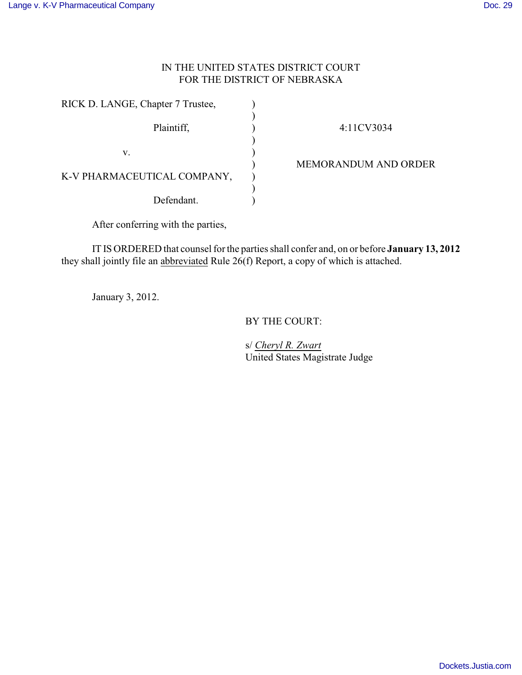## IN THE UNITED STATES DISTRICT COURT FOR THE DISTRICT OF NEBRASKA

| RICK D. LANGE, Chapter 7 Trustee, |  |  |  |
|-----------------------------------|--|--|--|
| Plaintiff,                        |  |  |  |
| v.                                |  |  |  |
| K-V PHARMACEUTICAL COMPANY,       |  |  |  |
| Defendant.                        |  |  |  |

4:11CV3034

MEMORANDUM AND ORDER

After conferring with the parties,

IT IS ORDERED that counsel for the parties shall confer and, on or before **January 13, 2012** they shall jointly file an abbreviated Rule  $26(f)$  Report, a copy of which is attached.

January 3, 2012.

BY THE COURT:

s/ *Cheryl R. Zwart* United States Magistrate Judge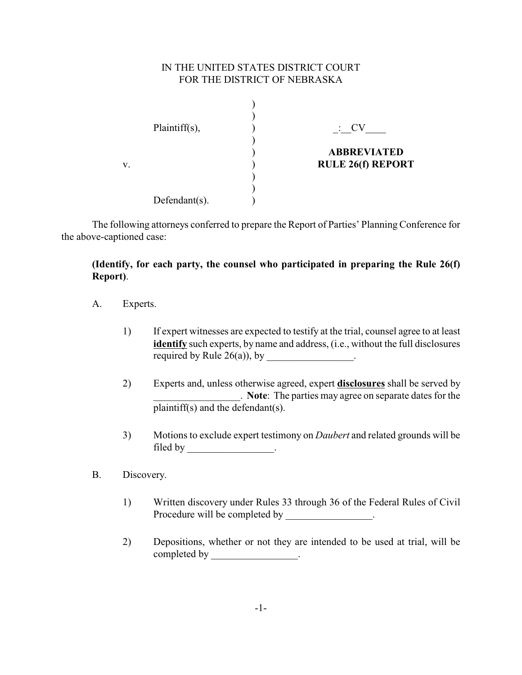## IN THE UNITED STATES DISTRICT COURT FOR THE DISTRICT OF NEBRASKA

|    | $Plaintiff(s)$ ,  | $\colon$ CV                                    |
|----|-------------------|------------------------------------------------|
| V. |                   | <b>ABBREVIATED</b><br><b>RULE 26(f) REPORT</b> |
|    |                   |                                                |
|    | Defendant $(s)$ . |                                                |

The following attorneys conferred to prepare the Report of Parties' Planning Conference for the above-captioned case:

## **(Identify, for each party, the counsel who participated in preparing the Rule 26(f) Report)**.

- A. Experts.
	- 1) If expert witnesses are expected to testify at the trial, counsel agree to at least **identify** such experts, by name and address, (i.e., without the full disclosures required by Rule  $26(a)$ , by  $\qquad \qquad$ .
	- 2) Experts and, unless otherwise agreed, expert **disclosures** shall be served by \_\_\_\_\_\_\_\_\_\_\_\_\_\_\_\_\_. **Note**: The parties may agree on separate dates for the plaintiff(s) and the defendant(s).
	- 3) Motions to exclude expert testimony on *Daubert* and related grounds will be filed by \_\_\_\_\_\_\_\_\_\_\_\_\_\_\_\_\_\_\_\_.
- B. Discovery.
	- 1) Written discovery under Rules 33 through 36 of the Federal Rules of Civil Procedure will be completed by \_\_\_\_\_\_\_\_\_\_\_\_\_\_\_.
	- 2) Depositions, whether or not they are intended to be used at trial, will be completed by \_\_\_\_\_\_\_\_\_\_\_\_\_\_\_\_\_.